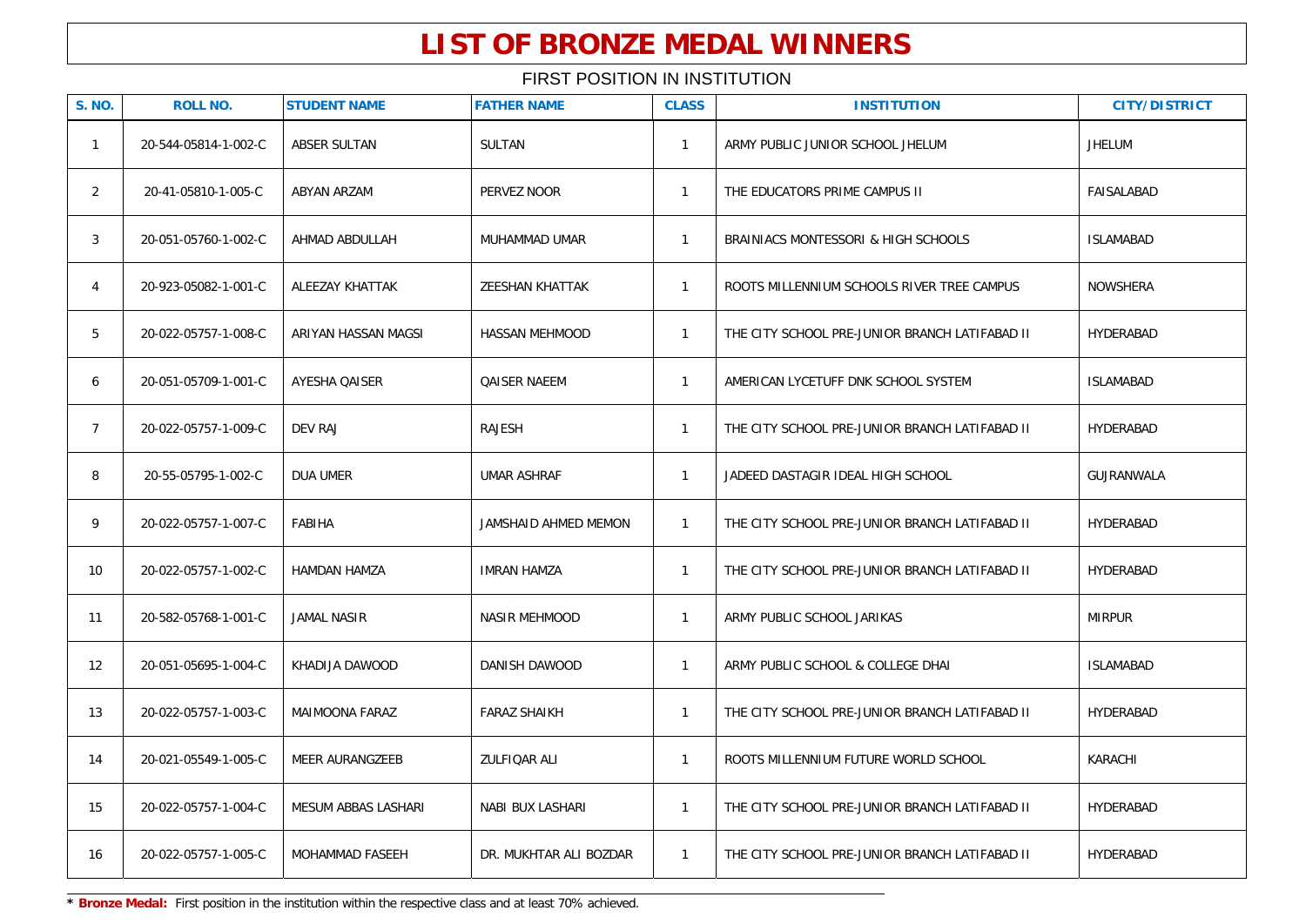| <b>S. NO.</b>  | <b>ROLL NO.</b>      | <b>STUDENT NAME</b>    | <b>FATHER NAME</b>     | <b>CLASS</b> | <b>INSTITUTION</b>                             | <b>CITY/DISTRICT</b> |
|----------------|----------------------|------------------------|------------------------|--------------|------------------------------------------------|----------------------|
| $\mathbf{1}$   | 20-544-05814-1-002-C | ABSER SULTAN           | <b>SULTAN</b>          | $\mathbf{1}$ | ARMY PUBLIC JUNIOR SCHOOL JHELUM               | <b>JHELUM</b>        |
| $\overline{2}$ | 20-41-05810-1-005-C  | <b>ABYAN ARZAM</b>     | PERVEZ NOOR            | $\mathbf{1}$ | THE EDUCATORS PRIME CAMPUS II                  | FAISALABAD           |
| 3              | 20-051-05760-1-002-C | AHMAD ABDULLAH         | MUHAMMAD UMAR          | $\mathbf{1}$ | BRAINIACS MONTESSORI & HIGH SCHOOLS            | <b>ISLAMABAD</b>     |
| $\overline{4}$ | 20-923-05082-1-001-C | ALEEZAY KHATTAK        | <b>ZEESHAN KHATTAK</b> | $\mathbf{1}$ | ROOTS MILLENNIUM SCHOOLS RIVER TREE CAMPUS     | <b>NOWSHERA</b>      |
| 5              | 20-022-05757-1-008-C | ARIYAN HASSAN MAGSI    | <b>HASSAN MEHMOOD</b>  | $\mathbf{1}$ | THE CITY SCHOOL PRE-JUNIOR BRANCH LATIFABAD II | HYDERABAD            |
| 6              | 20-051-05709-1-001-C | <b>AYESHA QAISER</b>   | <b>QAISER NAEEM</b>    | $\mathbf{1}$ | AMERICAN LYCETUFF DNK SCHOOL SYSTEM            | <b>ISLAMABAD</b>     |
| $7^{\circ}$    | 20-022-05757-1-009-C | <b>DEV RAJ</b>         | RAJESH                 | $\mathbf{1}$ | THE CITY SCHOOL PRE-JUNIOR BRANCH LATIFABAD II | HYDERABAD            |
| 8              | 20-55-05795-1-002-C  | DUA UMER               | <b>UMAR ASHRAF</b>     | $\mathbf{1}$ | JADEED DASTAGIR IDEAL HIGH SCHOOL              | GUJRANWALA           |
| 9              | 20-022-05757-1-007-C | <b>FABIHA</b>          | JAMSHAID AHMED MEMON   | $\mathbf{1}$ | THE CITY SCHOOL PRE-JUNIOR BRANCH LATIFABAD II | HYDERABAD            |
| 10             | 20-022-05757-1-002-C | HAMDAN HAMZA           | <b>IMRAN HAMZA</b>     | $\mathbf{1}$ | THE CITY SCHOOL PRE-JUNIOR BRANCH LATIFABAD II | HYDERABAD            |
| 11             | 20-582-05768-1-001-C | <b>JAMAL NASIR</b>     | NASIR MEHMOOD          | $\mathbf{1}$ | ARMY PUBLIC SCHOOL JARIKAS                     | <b>MIRPUR</b>        |
| 12             | 20-051-05695-1-004-C | KHADIJA DAWOOD         | DANISH DAWOOD          | $\mathbf{1}$ | ARMY PUBLIC SCHOOL & COLLEGE DHAI              | <b>ISLAMABAD</b>     |
| 13             | 20-022-05757-1-003-C | MAIMOONA FARAZ         | <b>FARAZ SHAIKH</b>    | $\mathbf{1}$ | THE CITY SCHOOL PRE-JUNIOR BRANCH LATIFABAD II | HYDERABAD            |
| 14             | 20-021-05549-1-005-C | <b>MEER AURANGZEEB</b> | ZULFIQAR ALI           | $\mathbf{1}$ | ROOTS MILLENNIUM FUTURE WORLD SCHOOL           | KARACHI              |
| 15             | 20-022-05757-1-004-C | MESUM ABBAS LASHARI    | NABI BUX LASHARI       | $\mathbf{1}$ | THE CITY SCHOOL PRE-JUNIOR BRANCH LATIFABAD II | HYDERABAD            |
| 16             | 20-022-05757-1-005-C | MOHAMMAD FASEEH        | DR. MUKHTAR ALI BOZDAR | $\mathbf{1}$ | THE CITY SCHOOL PRE-JUNIOR BRANCH LATIFABAD II | HYDERABAD            |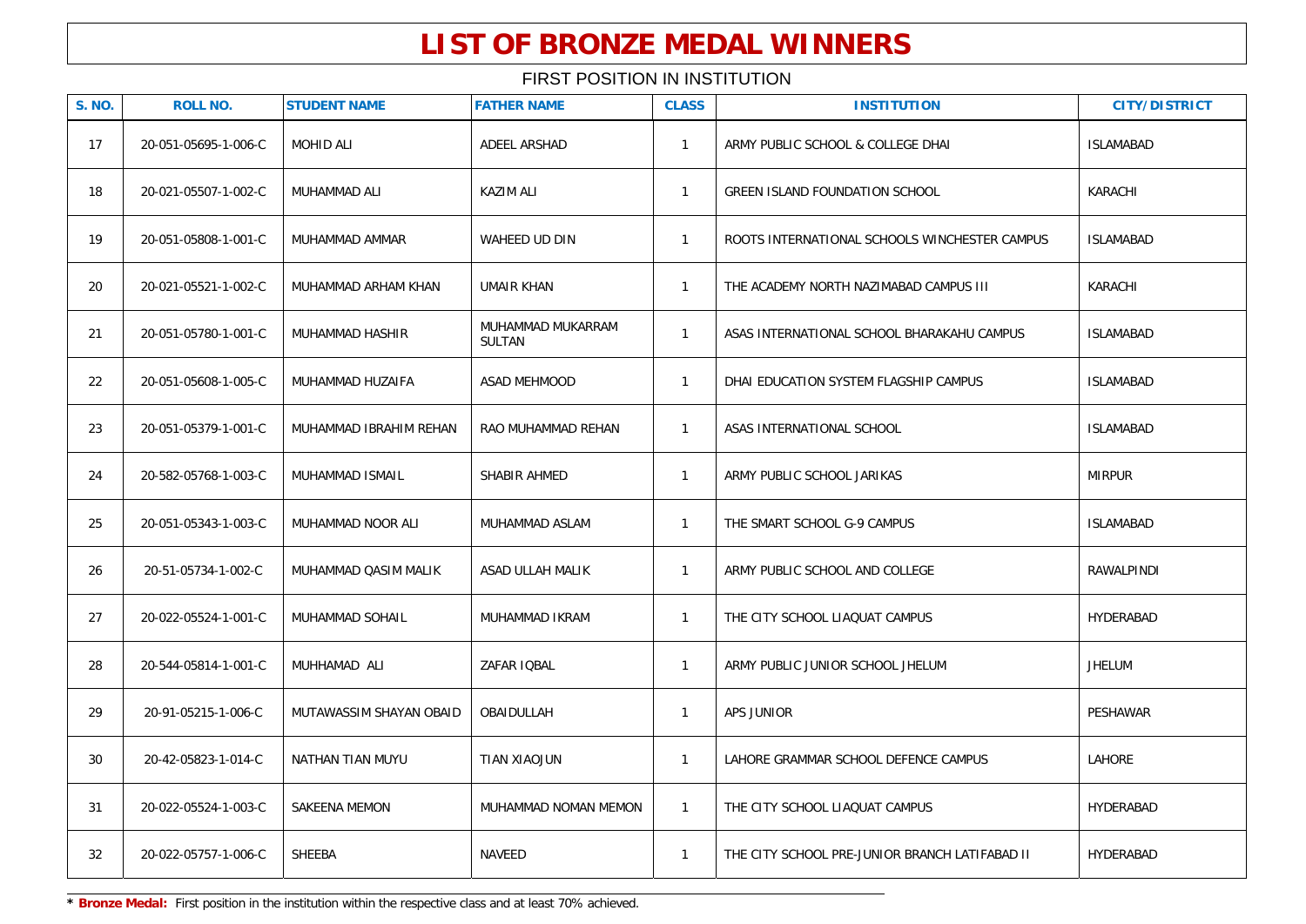### FIRST POSITION IN INSTITUTION

| <b>S. NO.</b> | <b>ROLL NO.</b>      | <b>STUDENT NAME</b>     | <b>FATHER NAME</b>                 | <b>CLASS</b> | <b>INSTITUTION</b>                             | <b>CITY/DISTRICT</b> |
|---------------|----------------------|-------------------------|------------------------------------|--------------|------------------------------------------------|----------------------|
| 17            | 20-051-05695-1-006-C | <b>MOHID ALI</b>        | ADEEL ARSHAD                       | $\mathbf{1}$ | ARMY PUBLIC SCHOOL & COLLEGE DHAI              | <b>ISLAMABAD</b>     |
| 18            | 20-021-05507-1-002-C | MUHAMMAD ALI            | <b>KAZIM ALI</b>                   | $\mathbf{1}$ | <b>GREEN ISLAND FOUNDATION SCHOOL</b>          | KARACHI              |
| 19            | 20-051-05808-1-001-C | MUHAMMAD AMMAR          | <b>WAHEED UD DIN</b>               | $\mathbf{1}$ | ROOTS INTERNATIONAL SCHOOLS WINCHESTER CAMPUS  | <b>ISLAMABAD</b>     |
| 20            | 20-021-05521-1-002-C | MUHAMMAD ARHAM KHAN     | <b>UMAIR KHAN</b>                  | $\mathbf{1}$ | THE ACADEMY NORTH NAZIMABAD CAMPUS III         | KARACHI              |
| 21            | 20-051-05780-1-001-C | MUHAMMAD HASHIR         | MUHAMMAD MUKARRAM<br><b>SULTAN</b> | $\mathbf{1}$ | ASAS INTERNATIONAL SCHOOL BHARAKAHU CAMPUS     | <b>ISLAMABAD</b>     |
| 22            | 20-051-05608-1-005-C | MUHAMMAD HUZAIFA        | ASAD MEHMOOD                       | $\mathbf{1}$ | DHAI EDUCATION SYSTEM FLAGSHIP CAMPUS          | <b>ISLAMABAD</b>     |
| 23            | 20-051-05379-1-001-C | MUHAMMAD IBRAHIM REHAN  | RAO MUHAMMAD REHAN                 | $\mathbf{1}$ | ASAS INTERNATIONAL SCHOOL                      | <b>ISLAMABAD</b>     |
| 24            | 20-582-05768-1-003-C | MUHAMMAD ISMAIL         | SHABIR AHMED                       | $\mathbf{1}$ | ARMY PUBLIC SCHOOL JARIKAS                     | <b>MIRPUR</b>        |
| 25            | 20-051-05343-1-003-C | MUHAMMAD NOOR ALI       | MUHAMMAD ASLAM                     | $\mathbf{1}$ | THE SMART SCHOOL G-9 CAMPUS                    | <b>ISLAMABAD</b>     |
| 26            | 20-51-05734-1-002-C  | MUHAMMAD QASIM MALIK    | ASAD ULLAH MALIK                   | $\mathbf{1}$ | ARMY PUBLIC SCHOOL AND COLLEGE                 | RAWALPINDI           |
| 27            | 20-022-05524-1-001-C | MUHAMMAD SOHAIL         | MUHAMMAD IKRAM                     | $\mathbf{1}$ | THE CITY SCHOOL LIAQUAT CAMPUS                 | HYDERABAD            |
| 28            | 20-544-05814-1-001-C | MUHHAMAD ALI            | ZAFAR IQBAL                        | $\mathbf{1}$ | ARMY PUBLIC JUNIOR SCHOOL JHELUM               | <b>JHELUM</b>        |
| 29            | 20-91-05215-1-006-C  | MUTAWASSIM SHAYAN OBAID | OBAIDULLAH                         | $\mathbf{1}$ | APS JUNIOR                                     | PESHAWAR             |
| 30            | 20-42-05823-1-014-C  | NATHAN TIAN MUYU        | TIAN XIAOJUN                       | $\mathbf{1}$ | LAHORE GRAMMAR SCHOOL DEFENCE CAMPUS           | LAHORE               |
| 31            | 20-022-05524-1-003-C | SAKEENA MEMON           | MUHAMMAD NOMAN MEMON               | $\mathbf{1}$ | THE CITY SCHOOL LIAQUAT CAMPUS                 | HYDERABAD            |
| 32            | 20-022-05757-1-006-C | SHEEBA                  | <b>NAVEED</b>                      | $\mathbf{1}$ | THE CITY SCHOOL PRE-JUNIOR BRANCH LATIFABAD II | HYDERABAD            |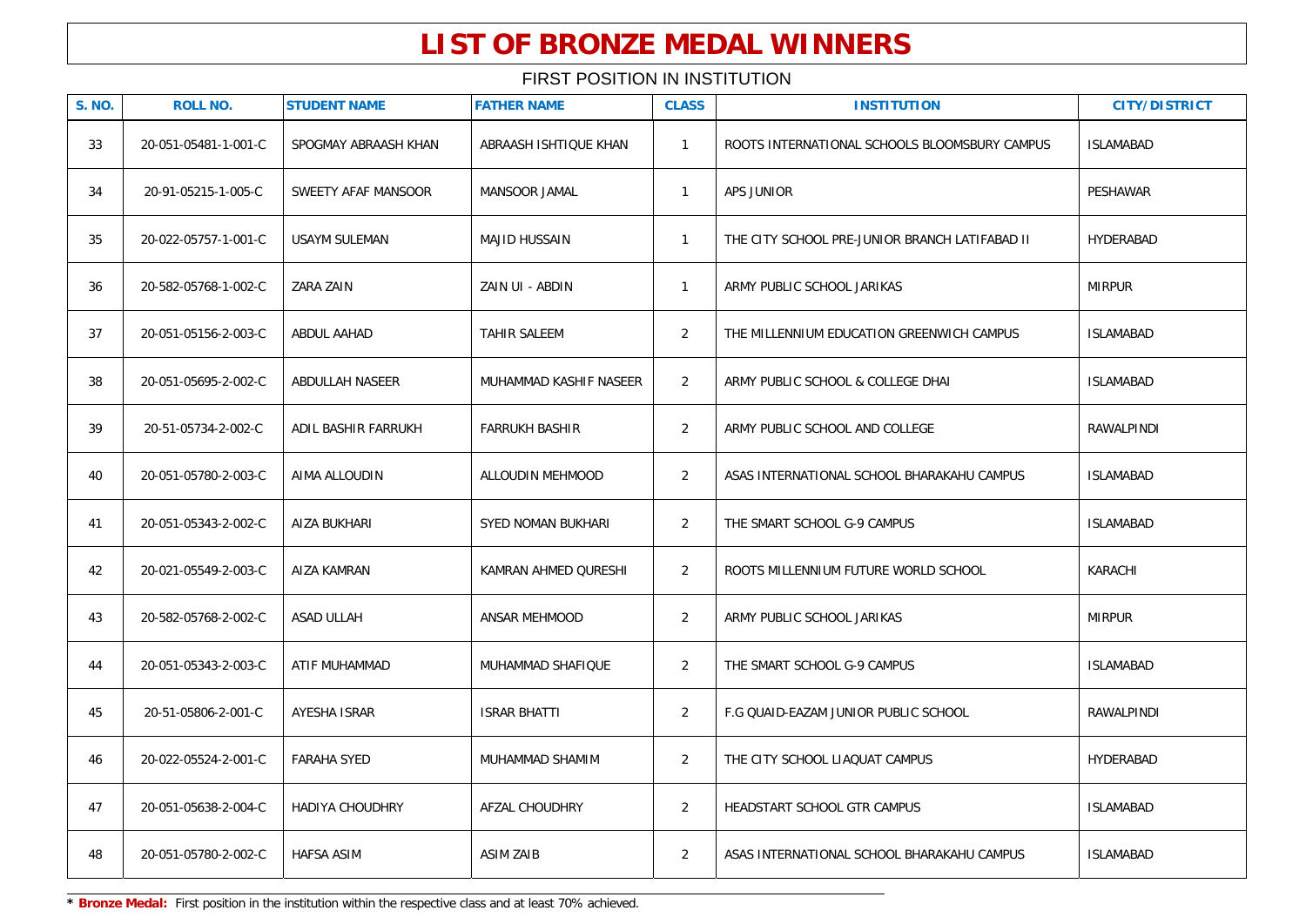### FIRST POSITION IN INSTITUTION

| <b>S. NO.</b> | <b>ROLL NO.</b>      | <b>STUDENT NAME</b>    | <b>FATHER NAME</b>     | <b>CLASS</b>   | <b>INSTITUTION</b>                             | <b>CITY/DISTRICT</b> |
|---------------|----------------------|------------------------|------------------------|----------------|------------------------------------------------|----------------------|
| 33            | 20-051-05481-1-001-C | SPOGMAY ABRAASH KHAN   | ABRAASH ISHTIQUE KHAN  | $\mathbf{1}$   | ROOTS INTERNATIONAL SCHOOLS BLOOMSBURY CAMPUS  | <b>ISLAMABAD</b>     |
| 34            | 20-91-05215-1-005-C  | SWEETY AFAF MANSOOR    | MANSOOR JAMAL          | $\mathbf{1}$   | APS JUNIOR                                     | PESHAWAR             |
| 35            | 20-022-05757-1-001-C | USAYM SULEMAN          | <b>MAJID HUSSAIN</b>   | $\mathbf{1}$   | THE CITY SCHOOL PRE-JUNIOR BRANCH LATIFABAD II | HYDERABAD            |
| 36            | 20-582-05768-1-002-C | ZARA ZAIN              | ZAIN UI - ABDIN        | $\mathbf{1}$   | ARMY PUBLIC SCHOOL JARIKAS                     | <b>MIRPUR</b>        |
| 37            | 20-051-05156-2-003-C | ABDUL AAHAD            | TAHIR SALEEM           | $\overline{2}$ | THE MILLENNIUM EDUCATION GREENWICH CAMPUS      | <b>ISLAMABAD</b>     |
| 38            | 20-051-05695-2-002-C | ABDULLAH NASEER        | MUHAMMAD KASHIF NASEER | $\overline{2}$ | ARMY PUBLIC SCHOOL & COLLEGE DHAI              | <b>ISLAMABAD</b>     |
| 39            | 20-51-05734-2-002-C  | ADIL BASHIR FARRUKH    | <b>FARRUKH BASHIR</b>  | $\overline{2}$ | ARMY PUBLIC SCHOOL AND COLLEGE                 | RAWALPINDI           |
| 40            | 20-051-05780-2-003-C | AIMA ALLOUDIN          | ALLOUDIN MEHMOOD       | $\overline{2}$ | ASAS INTERNATIONAL SCHOOL BHARAKAHU CAMPUS     | <b>ISLAMABAD</b>     |
| 41            | 20-051-05343-2-002-C | AIZA BUKHARI           | SYED NOMAN BUKHARI     | $\overline{2}$ | THE SMART SCHOOL G-9 CAMPUS                    | <b>ISLAMABAD</b>     |
| 42            | 20-021-05549-2-003-C | AIZA KAMRAN            | KAMRAN AHMED QURESHI   | $\overline{2}$ | ROOTS MILLENNIUM FUTURE WORLD SCHOOL           | KARACHI              |
| 43            | 20-582-05768-2-002-C | <b>ASAD ULLAH</b>      | ANSAR MEHMOOD          | $\overline{2}$ | ARMY PUBLIC SCHOOL JARIKAS                     | <b>MIRPUR</b>        |
| 44            | 20-051-05343-2-003-C | ATIF MUHAMMAD          | MUHAMMAD SHAFIQUE      | $\overline{2}$ | THE SMART SCHOOL G-9 CAMPUS                    | <b>ISLAMABAD</b>     |
| 45            | 20-51-05806-2-001-C  | AYESHA ISRAR           | <b>ISRAR BHATTI</b>    | $\overline{2}$ | F.G QUAID-EAZAM JUNIOR PUBLIC SCHOOL           | RAWALPINDI           |
| 46            | 20-022-05524-2-001-C | <b>FARAHA SYED</b>     | MUHAMMAD SHAMIM        | $\overline{2}$ | THE CITY SCHOOL LIAQUAT CAMPUS                 | HYDERABAD            |
| 47            | 20-051-05638-2-004-C | <b>HADIYA CHOUDHRY</b> | AFZAL CHOUDHRY         | $\overline{2}$ | HEADSTART SCHOOL GTR CAMPUS                    | <b>ISLAMABAD</b>     |
| 48            | 20-051-05780-2-002-C | <b>HAFSA ASIM</b>      | <b>ASIM ZAIB</b>       | $\overline{2}$ | ASAS INTERNATIONAL SCHOOL BHARAKAHU CAMPUS     | <b>ISLAMABAD</b>     |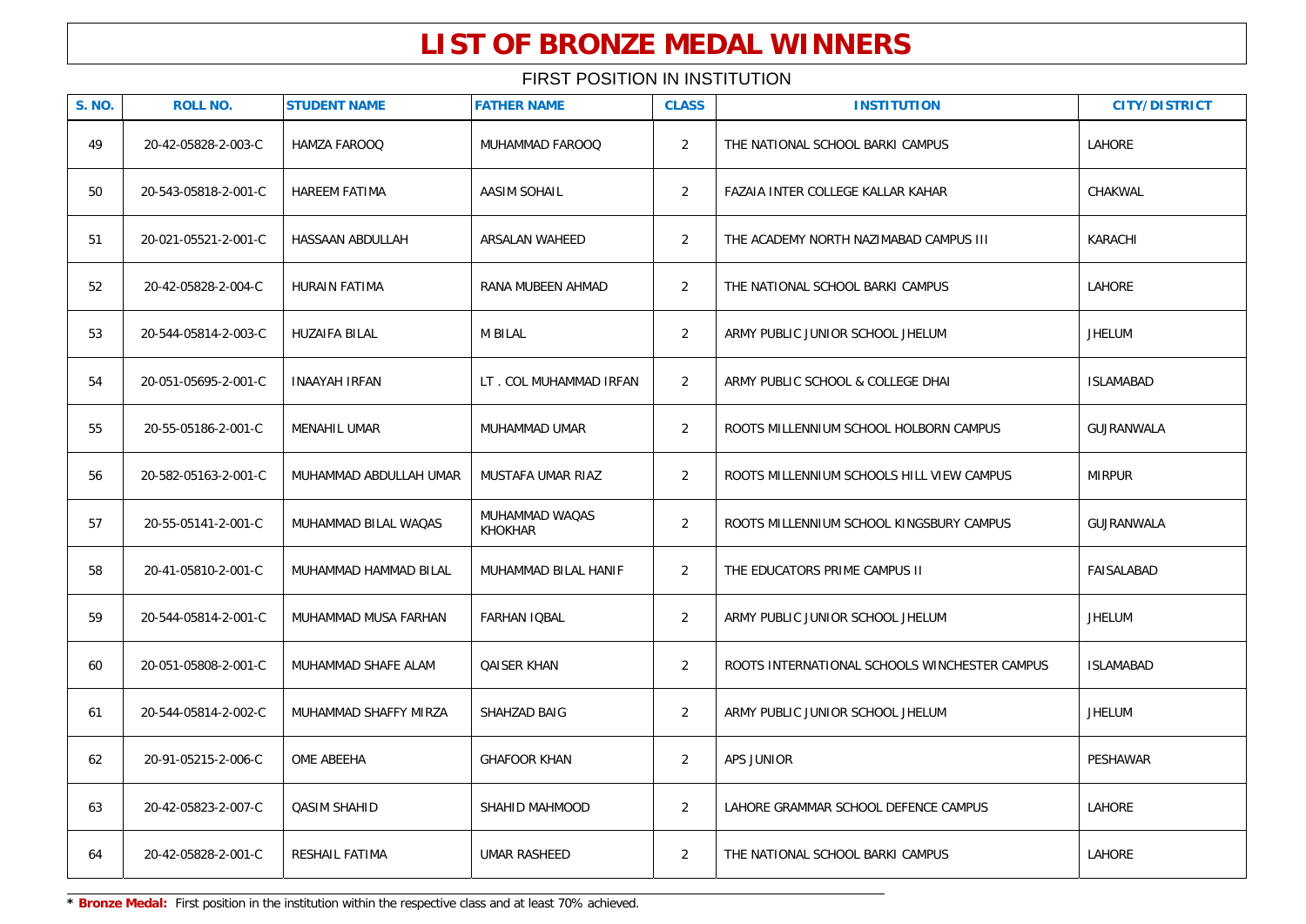| <b>S. NO.</b> | <b>ROLL NO.</b>      | <b>STUDENT NAME</b>    | <b>FATHER NAME</b>               | <b>CLASS</b>   | <b>INSTITUTION</b>                            | <b>CITY/DISTRICT</b> |
|---------------|----------------------|------------------------|----------------------------------|----------------|-----------------------------------------------|----------------------|
| 49            | 20-42-05828-2-003-C  | HAMZA FAROOQ           | MUHAMMAD FAROOQ                  | 2              | THE NATIONAL SCHOOL BARKI CAMPUS              | LAHORE               |
| 50            | 20-543-05818-2-001-C | <b>HAREEM FATIMA</b>   | <b>AASIM SOHAIL</b>              | 2              | FAZAIA INTER COLLEGE KALLAR KAHAR             | CHAKWAL              |
| 51            | 20-021-05521-2-001-C | HASSAAN ABDULLAH       | ARSALAN WAHEED                   | 2              | THE ACADEMY NORTH NAZIMABAD CAMPUS III        | KARACHI              |
| 52            | 20-42-05828-2-004-C  | <b>HURAIN FATIMA</b>   | RANA MUBEEN AHMAD                | $\overline{2}$ | THE NATIONAL SCHOOL BARKI CAMPUS              | <b>LAHORE</b>        |
| 53            | 20-544-05814-2-003-C | HUZAIFA BILAL          | <b>M BILAL</b>                   | 2              | ARMY PUBLIC JUNIOR SCHOOL JHELUM              | <b>JHELUM</b>        |
| 54            | 20-051-05695-2-001-C | <b>INAAYAH IRFAN</b>   | LT. COL MUHAMMAD IRFAN           | 2              | ARMY PUBLIC SCHOOL & COLLEGE DHAI             | <b>ISLAMABAD</b>     |
| 55            | 20-55-05186-2-001-C  | <b>MENAHIL UMAR</b>    | MUHAMMAD UMAR                    | 2              | ROOTS MILLENNIUM SCHOOL HOLBORN CAMPUS        | GUJRANWALA           |
| 56            | 20-582-05163-2-001-C | MUHAMMAD ABDULLAH UMAR | MUSTAFA UMAR RIAZ                | 2              | ROOTS MILLENNIUM SCHOOLS HILL VIEW CAMPUS     | <b>MIRPUR</b>        |
| 57            | 20-55-05141-2-001-C  | MUHAMMAD BILAL WAQAS   | MUHAMMAD WAQAS<br><b>KHOKHAR</b> | 2              | ROOTS MILLENNIUM SCHOOL KINGSBURY CAMPUS      | GUJRANWALA           |
| 58            | 20-41-05810-2-001-C  | MUHAMMAD HAMMAD BILAL  | MUHAMMAD BILAL HANIF             | 2              | THE EDUCATORS PRIME CAMPUS II                 | FAISALABAD           |
| 59            | 20-544-05814-2-001-C | MUHAMMAD MUSA FARHAN   | FARHAN IQBAL                     | $\overline{2}$ | ARMY PUBLIC JUNIOR SCHOOL JHELUM              | JHELUM               |
| 60            | 20-051-05808-2-001-C | MUHAMMAD SHAFE ALAM    | <b>QAISER KHAN</b>               | 2              | ROOTS INTERNATIONAL SCHOOLS WINCHESTER CAMPUS | <b>ISLAMABAD</b>     |
| 61            | 20-544-05814-2-002-C | MUHAMMAD SHAFFY MIRZA  | SHAHZAD BAIG                     | 2              | ARMY PUBLIC JUNIOR SCHOOL JHELUM              | JHELUM               |
| 62            | 20-91-05215-2-006-C  | OME ABEEHA             | <b>GHAFOOR KHAN</b>              | 2              | APS JUNIOR                                    | PESHAWAR             |
| 63            | 20-42-05823-2-007-C  | QASIM SHAHID           | SHAHID MAHMOOD                   | 2              | LAHORE GRAMMAR SCHOOL DEFENCE CAMPUS          | LAHORE               |
| 64            | 20-42-05828-2-001-C  | RESHAIL FATIMA         | <b>UMAR RASHEED</b>              | $\overline{2}$ | THE NATIONAL SCHOOL BARKI CAMPUS              | LAHORE               |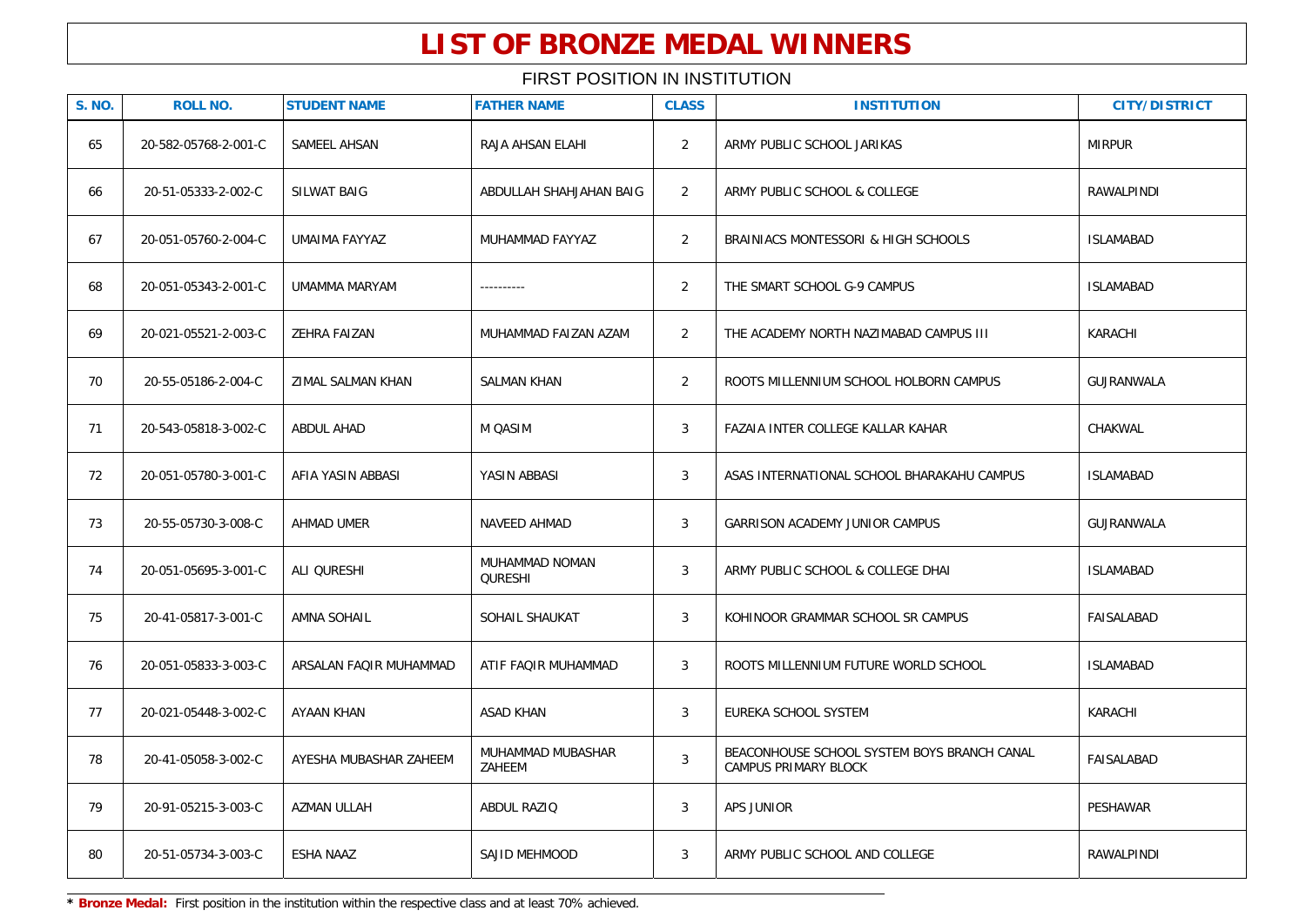| <b>S. NO.</b> | <b>ROLL NO.</b>      | <b>STUDENT NAME</b>    | <b>FATHER NAME</b>          | <b>CLASS</b>   | <b>INSTITUTION</b>                                                         | <b>CITY/DISTRICT</b> |
|---------------|----------------------|------------------------|-----------------------------|----------------|----------------------------------------------------------------------------|----------------------|
| 65            | 20-582-05768-2-001-C | SAMEEL AHSAN           | RAJA AHSAN ELAHI            | $\overline{2}$ | ARMY PUBLIC SCHOOL JARIKAS                                                 | <b>MIRPUR</b>        |
| 66            | 20-51-05333-2-002-C  | <b>SILWAT BAIG</b>     | ABDULLAH SHAHJAHAN BAIG     | $\overline{2}$ | ARMY PUBLIC SCHOOL & COLLEGE                                               | <b>RAWALPINDI</b>    |
| 67            | 20-051-05760-2-004-C | UMAIMA FAYYAZ          | MUHAMMAD FAYYAZ             | $\overline{2}$ | BRAINIACS MONTESSORI & HIGH SCHOOLS                                        | <b>ISLAMABAD</b>     |
| 68            | 20-051-05343-2-001-C | UMAMMA MARYAM          | ----------                  | $\overline{2}$ | THE SMART SCHOOL G-9 CAMPUS                                                | <b>ISLAMABAD</b>     |
| 69            | 20-021-05521-2-003-C | ZEHRA FAIZAN           | MUHAMMAD FAIZAN AZAM        | $\overline{2}$ | THE ACADEMY NORTH NAZIMABAD CAMPUS III                                     | KARACHI              |
| 70            | 20-55-05186-2-004-C  | ZIMAL SALMAN KHAN      | <b>SALMAN KHAN</b>          | $\overline{2}$ | ROOTS MILLENNIUM SCHOOL HOLBORN CAMPUS                                     | GUJRANWALA           |
| 71            | 20-543-05818-3-002-C | <b>ABDUL AHAD</b>      | M QASIM                     | 3              | FAZAIA INTER COLLEGE KALLAR KAHAR                                          | CHAKWAL              |
| 72            | 20-051-05780-3-001-C | AFIA YASIN ABBASI      | YASIN ABBASI                | 3              | ASAS INTERNATIONAL SCHOOL BHARAKAHU CAMPUS                                 | <b>ISLAMABAD</b>     |
| 73            | 20-55-05730-3-008-C  | AHMAD UMER             | NAVEED AHMAD                | 3              | GARRISON ACADEMY JUNIOR CAMPUS                                             | GUJRANWALA           |
| 74            | 20-051-05695-3-001-C | ALI QURESHI            | MUHAMMAD NOMAN<br>QURESHI   | 3              | ARMY PUBLIC SCHOOL & COLLEGE DHAI                                          | <b>ISLAMABAD</b>     |
| 75            | 20-41-05817-3-001-C  | AMNA SOHAIL            | SOHAIL SHAUKAT              | 3              | KOHINOOR GRAMMAR SCHOOL SR CAMPUS                                          | FAISALABAD           |
| 76            | 20-051-05833-3-003-C | ARSALAN FAQIR MUHAMMAD | ATIF FAQIR MUHAMMAD         | 3              | ROOTS MILLENNIUM FUTURE WORLD SCHOOL                                       | <b>ISLAMABAD</b>     |
| 77            | 20-021-05448-3-002-C | AYAAN KHAN             | <b>ASAD KHAN</b>            | 3              | EUREKA SCHOOL SYSTEM                                                       | KARACHI              |
| 78            | 20-41-05058-3-002-C  | AYESHA MUBASHAR ZAHEEM | MUHAMMAD MUBASHAR<br>ZAHEEM | $\mathbf{3}$   | BEACONHOUSE SCHOOL SYSTEM BOYS BRANCH CANAL<br><b>CAMPUS PRIMARY BLOCK</b> | FAISALABAD           |
| 79            | 20-91-05215-3-003-C  | AZMAN ULLAH            | ABDUL RAZIO                 | 3              | APS JUNIOR                                                                 | PESHAWAR             |
| 80            | 20-51-05734-3-003-C  | <b>ESHA NAAZ</b>       | SAJID MEHMOOD               | 3              | ARMY PUBLIC SCHOOL AND COLLEGE                                             | RAWALPINDI           |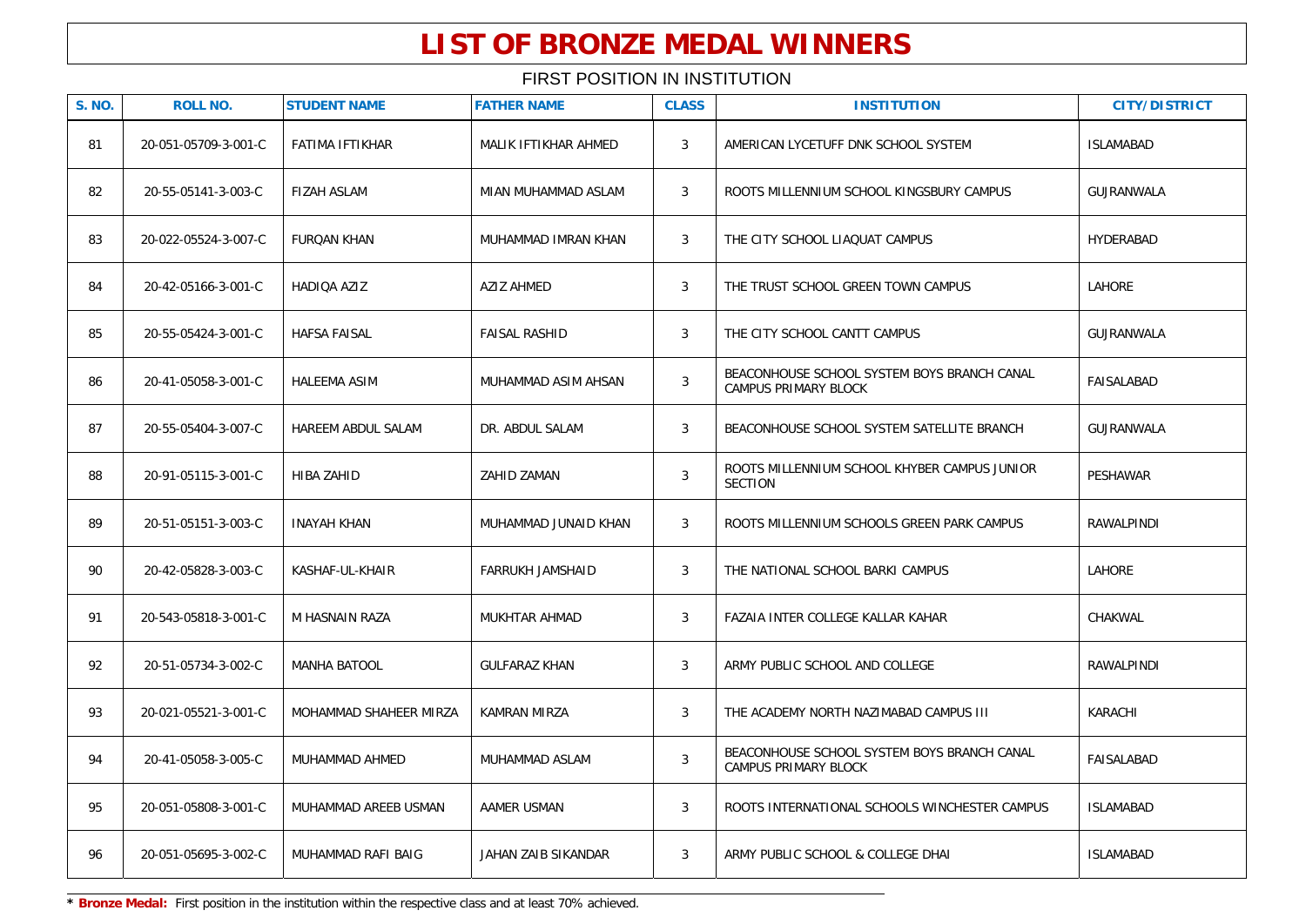| <b>S. NO.</b> | <b>ROLL NO.</b>      | <b>STUDENT NAME</b>    | <b>FATHER NAME</b>         | <b>CLASS</b> | <b>INSTITUTION</b>                                                         | <b>CITY/DISTRICT</b> |
|---------------|----------------------|------------------------|----------------------------|--------------|----------------------------------------------------------------------------|----------------------|
| 81            | 20-051-05709-3-001-C | FATIMA IFTIKHAR        | MALIK IFTIKHAR AHMED       | $\mathbf{3}$ | AMERICAN LYCETUFF DNK SCHOOL SYSTEM                                        | <b>ISLAMABAD</b>     |
| 82            | 20-55-05141-3-003-C  | <b>FIZAH ASLAM</b>     | MIAN MUHAMMAD ASLAM        | 3            | ROOTS MILLENNIUM SCHOOL KINGSBURY CAMPUS                                   | <b>GUJRANWALA</b>    |
| 83            | 20-022-05524-3-007-C | <b>FURQAN KHAN</b>     | MUHAMMAD IMRAN KHAN        | 3            | THE CITY SCHOOL LIAQUAT CAMPUS                                             | HYDERABAD            |
| 84            | 20-42-05166-3-001-C  | HADIOA AZIZ            | <b>AZIZ AHMED</b>          | 3            | THE TRUST SCHOOL GREEN TOWN CAMPUS                                         | <b>LAHORE</b>        |
| 85            | 20-55-05424-3-001-C  | <b>HAFSA FAISAL</b>    | <b>FAISAL RASHID</b>       | 3            | THE CITY SCHOOL CANTT CAMPUS                                               | GUJRANWALA           |
| 86            | 20-41-05058-3-001-C  | <b>HALEEMA ASIM</b>    | MUHAMMAD ASIM AHSAN        | 3            | BEACONHOUSE SCHOOL SYSTEM BOYS BRANCH CANAL<br>CAMPUS PRIMARY BLOCK        | FAISALABAD           |
| 87            | 20-55-05404-3-007-C  | HAREEM ABDUL SALAM     | DR. ABDUL SALAM            | 3            | BEACONHOUSE SCHOOL SYSTEM SATELLITE BRANCH                                 | GUJRANWALA           |
| 88            | 20-91-05115-3-001-C  | HIBA ZAHID             | ZAHID ZAMAN                | $\mathbf{3}$ | ROOTS MILLENNIUM SCHOOL KHYBER CAMPUS JUNIOR<br><b>SECTION</b>             | PESHAWAR             |
| 89            | 20-51-05151-3-003-C  | <b>INAYAH KHAN</b>     | MUHAMMAD JUNAID KHAN       | 3            | ROOTS MILLENNIUM SCHOOLS GREEN PARK CAMPUS                                 | RAWALPINDI           |
| 90            | 20-42-05828-3-003-C  | KASHAF-UL-KHAIR        | FARRUKH JAMSHAID           | 3            | THE NATIONAL SCHOOL BARKI CAMPUS                                           | LAHORE               |
| 91            | 20-543-05818-3-001-C | M HASNAIN RAZA         | MUKHTAR AHMAD              | $\mathbf{3}$ | FAZAIA INTER COLLEGE KALLAR KAHAR                                          | CHAKWAL              |
| 92            | 20-51-05734-3-002-C  | <b>MANHA BATOOL</b>    | <b>GULFARAZ KHAN</b>       | 3            | ARMY PUBLIC SCHOOL AND COLLEGE                                             | RAWALPINDI           |
| 93            | 20-021-05521-3-001-C | MOHAMMAD SHAHEER MIRZA | KAMRAN MIRZA               | 3            | THE ACADEMY NORTH NAZIMABAD CAMPUS III                                     | KARACHI              |
| 94            | 20-41-05058-3-005-C  | MUHAMMAD AHMED         | MUHAMMAD ASLAM             | $\mathbf{3}$ | BEACONHOUSE SCHOOL SYSTEM BOYS BRANCH CANAL<br><b>CAMPUS PRIMARY BLOCK</b> | <b>FAISALABAD</b>    |
| 95            | 20-051-05808-3-001-C | MUHAMMAD AREEB USMAN   | AAMER USMAN                | 3            | ROOTS INTERNATIONAL SCHOOLS WINCHESTER CAMPUS                              | <b>ISLAMABAD</b>     |
| 96            | 20-051-05695-3-002-C | MUHAMMAD RAFI BAIG     | <b>JAHAN ZAIB SIKANDAR</b> | 3            | ARMY PUBLIC SCHOOL & COLLEGE DHAI                                          | <b>ISLAMABAD</b>     |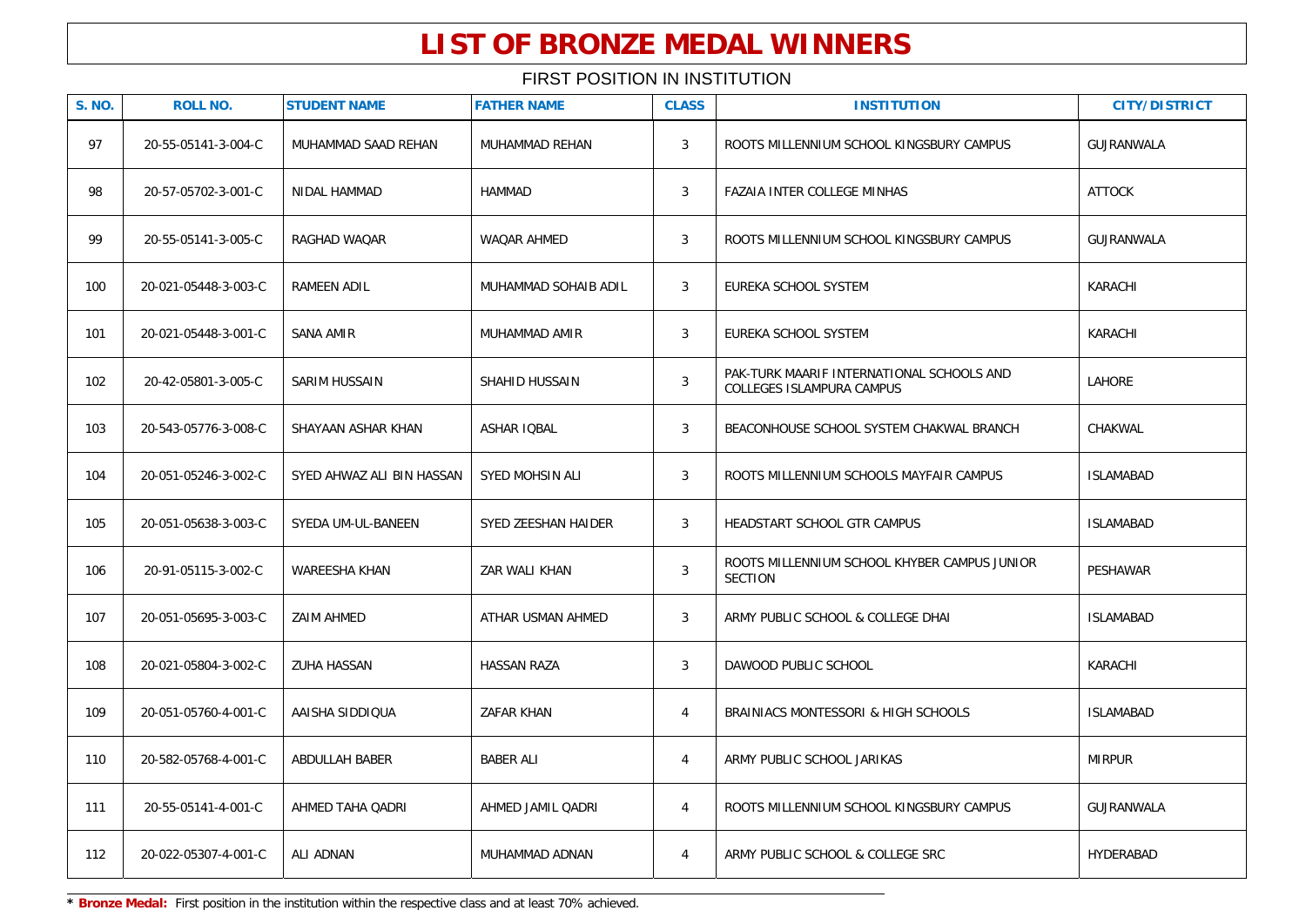### FIRST POSITION IN INSTITUTION

| <b>S. NO.</b> | <b>ROLL NO.</b>      | <b>STUDENT NAME</b>       | <b>FATHER NAME</b>   | <b>CLASS</b>   | <b>INSTITUTION</b>                                                     | <b>CITY/DISTRICT</b> |
|---------------|----------------------|---------------------------|----------------------|----------------|------------------------------------------------------------------------|----------------------|
| 97            | 20-55-05141-3-004-C  | MUHAMMAD SAAD REHAN       | MUHAMMAD REHAN       | 3              | ROOTS MILLENNIUM SCHOOL KINGSBURY CAMPUS                               | GUJRANWALA           |
| 98            | 20-57-05702-3-001-C  | <b>NIDAL HAMMAD</b>       | <b>HAMMAD</b>        | 3              | FAZAIA INTER COLLEGE MINHAS                                            | <b>ATTOCK</b>        |
| 99            | 20-55-05141-3-005-C  | RAGHAD WAQAR              | WAQAR AHMED          | 3              | ROOTS MILLENNIUM SCHOOL KINGSBURY CAMPUS                               | GUJRANWALA           |
| 100           | 20-021-05448-3-003-C | RAMEEN ADIL               | MUHAMMAD SOHAIB ADIL | 3              | EUREKA SCHOOL SYSTEM                                                   | KARACHI              |
| 101           | 20-021-05448-3-001-C | SANA AMIR                 | MUHAMMAD AMIR        | 3              | EUREKA SCHOOL SYSTEM                                                   | KARACHI              |
| 102           | 20-42-05801-3-005-C  | SARIM HUSSAIN             | SHAHID HUSSAIN       | 3              | PAK-TURK MAARIF INTERNATIONAL SCHOOLS AND<br>COLLEGES ISLAMPURA CAMPUS | LAHORE               |
| 103           | 20-543-05776-3-008-C | SHAYAAN ASHAR KHAN        | ASHAR IQBAL          | 3              | BEACONHOUSE SCHOOL SYSTEM CHAKWAL BRANCH                               | CHAKWAL              |
| 104           | 20-051-05246-3-002-C | SYED AHWAZ ALI BIN HASSAN | SYED MOHSIN ALI      | 3              | ROOTS MILLENNIUM SCHOOLS MAYFAIR CAMPUS                                | <b>ISLAMABAD</b>     |
| 105           | 20-051-05638-3-003-C | SYEDA UM-UL-BANEEN        | SYED ZEESHAN HAIDER  | 3              | HEADSTART SCHOOL GTR CAMPUS                                            | <b>ISLAMABAD</b>     |
| 106           | 20-91-05115-3-002-C  | WAREESHA KHAN             | ZAR WALI KHAN        | $\mathbf{3}$   | ROOTS MILLENNIUM SCHOOL KHYBER CAMPUS JUNIOR<br><b>SECTION</b>         | PESHAWAR             |
| 107           | 20-051-05695-3-003-C | ZAIM AHMED                | ATHAR USMAN AHMED    | 3              | ARMY PUBLIC SCHOOL & COLLEGE DHAI                                      | <b>ISLAMABAD</b>     |
| 108           | 20-021-05804-3-002-C | ZUHA HASSAN               | <b>HASSAN RAZA</b>   | 3              | DAWOOD PUBLIC SCHOOL                                                   | KARACHI              |
| 109           | 20-051-05760-4-001-C | AAISHA SIDDIQUA           | ZAFAR KHAN           | $\overline{4}$ | BRAINIACS MONTESSORI & HIGH SCHOOLS                                    | <b>ISLAMABAD</b>     |
| 110           | 20-582-05768-4-001-C | ABDULLAH BABER            | <b>BABER ALI</b>     | $\overline{4}$ | ARMY PUBLIC SCHOOL JARIKAS                                             | <b>MIRPUR</b>        |
| 111           | 20-55-05141-4-001-C  | AHMED TAHA QADRI          | AHMED JAMIL QADRI    | 4              | ROOTS MILLENNIUM SCHOOL KINGSBURY CAMPUS                               | GUJRANWALA           |
| 112           | 20-022-05307-4-001-C | ALI ADNAN                 | MUHAMMAD ADNAN       | 4              | ARMY PUBLIC SCHOOL & COLLEGE SRC                                       | HYDERABAD            |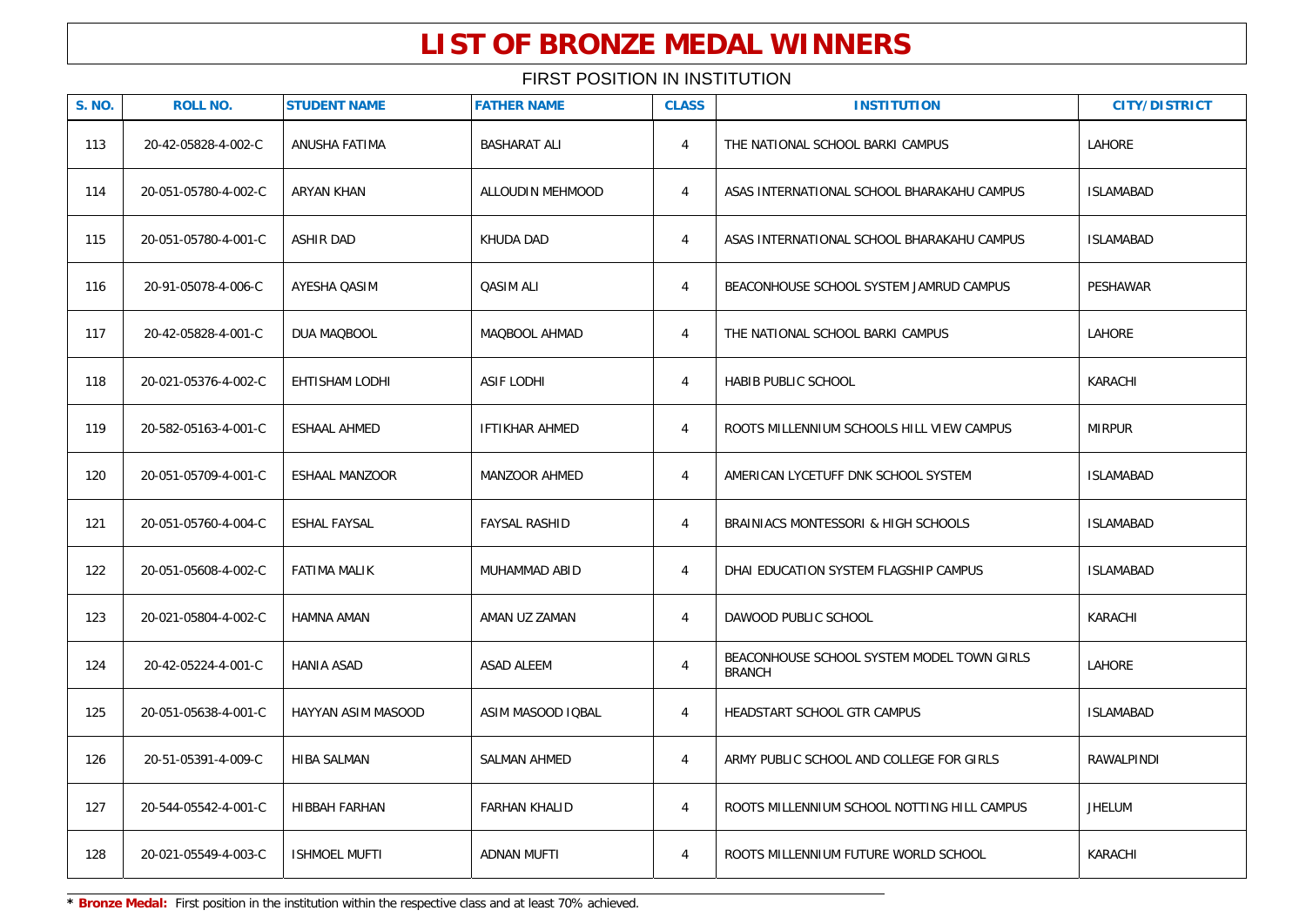| <b>S. NO.</b> | <b>ROLL NO.</b>      | <b>STUDENT NAME</b>   | <b>FATHER NAME</b>    | <b>CLASS</b>   | <b>INSTITUTION</b>                                          | <b>CITY/DISTRICT</b> |
|---------------|----------------------|-----------------------|-----------------------|----------------|-------------------------------------------------------------|----------------------|
| 113           | 20-42-05828-4-002-C  | ANUSHA FATIMA         | <b>BASHARAT ALI</b>   | $\overline{4}$ | THE NATIONAL SCHOOL BARKI CAMPUS                            | LAHORE               |
| 114           | 20-051-05780-4-002-C | <b>ARYAN KHAN</b>     | ALLOUDIN MEHMOOD      | $\overline{4}$ | ASAS INTERNATIONAL SCHOOL BHARAKAHU CAMPUS                  | <b>ISLAMABAD</b>     |
| 115           | 20-051-05780-4-001-C | ASHIR DAD             | KHUDA DAD             | $\overline{4}$ | ASAS INTERNATIONAL SCHOOL BHARAKAHU CAMPUS                  | <b>ISLAMABAD</b>     |
| 116           | 20-91-05078-4-006-C  | AYESHA QASIM          | <b>QASIM ALI</b>      | $\overline{4}$ | BEACONHOUSE SCHOOL SYSTEM JAMRUD CAMPUS                     | PESHAWAR             |
| 117           | 20-42-05828-4-001-C  | DUA MAQBOOL           | MAQBOOL AHMAD         | $\overline{4}$ | THE NATIONAL SCHOOL BARKI CAMPUS                            | LAHORE               |
| 118           | 20-021-05376-4-002-C | EHTISHAM LODHI        | <b>ASIF LODHI</b>     | $\overline{4}$ | <b>HABIB PUBLIC SCHOOL</b>                                  | KARACHI              |
| 119           | 20-582-05163-4-001-C | ESHAAL AHMED          | <b>IFTIKHAR AHMED</b> | $\overline{4}$ | ROOTS MILLENNIUM SCHOOLS HILL VIEW CAMPUS                   | <b>MIRPUR</b>        |
| 120           | 20-051-05709-4-001-C | <b>ESHAAL MANZOOR</b> | MANZOOR AHMED         | $\overline{4}$ | AMERICAN LYCETUFF DNK SCHOOL SYSTEM                         | <b>ISLAMABAD</b>     |
| 121           | 20-051-05760-4-004-C | <b>ESHAL FAYSAL</b>   | <b>FAYSAL RASHID</b>  | $\overline{4}$ | BRAINIACS MONTESSORI & HIGH SCHOOLS                         | <b>ISLAMABAD</b>     |
| 122           | 20-051-05608-4-002-C | <b>FATIMA MALIK</b>   | MUHAMMAD ABID         | $\overline{4}$ | DHAI EDUCATION SYSTEM FLAGSHIP CAMPUS                       | <b>ISLAMABAD</b>     |
| 123           | 20-021-05804-4-002-C | <b>HAMNA AMAN</b>     | AMAN UZ ZAMAN         | $\overline{4}$ | DAWOOD PUBLIC SCHOOL                                        | KARACHI              |
| 124           | 20-42-05224-4-001-C  | <b>HANIA ASAD</b>     | <b>ASAD ALEEM</b>     | $\overline{4}$ | BEACONHOUSE SCHOOL SYSTEM MODEL TOWN GIRLS<br><b>BRANCH</b> | <b>LAHORE</b>        |
| 125           | 20-051-05638-4-001-C | HAYYAN ASIM MASOOD    | ASIM MASOOD IQBAL     | $\overline{4}$ | HEADSTART SCHOOL GTR CAMPUS                                 | <b>ISLAMABAD</b>     |
| 126           | 20-51-05391-4-009-C  | <b>HIBA SALMAN</b>    | <b>SALMAN AHMED</b>   | $\overline{4}$ | ARMY PUBLIC SCHOOL AND COLLEGE FOR GIRLS                    | RAWALPINDI           |
| 127           | 20-544-05542-4-001-C | <b>HIBBAH FARHAN</b>  | <b>FARHAN KHALID</b>  | $\overline{4}$ | ROOTS MILLENNIUM SCHOOL NOTTING HILL CAMPUS                 | <b>JHELUM</b>        |
| 128           | 20-021-05549-4-003-C | <b>ISHMOEL MUFTI</b>  | ADNAN MUFTI           | $\overline{4}$ | ROOTS MILLENNIUM FUTURE WORLD SCHOOL                        | KARACHI              |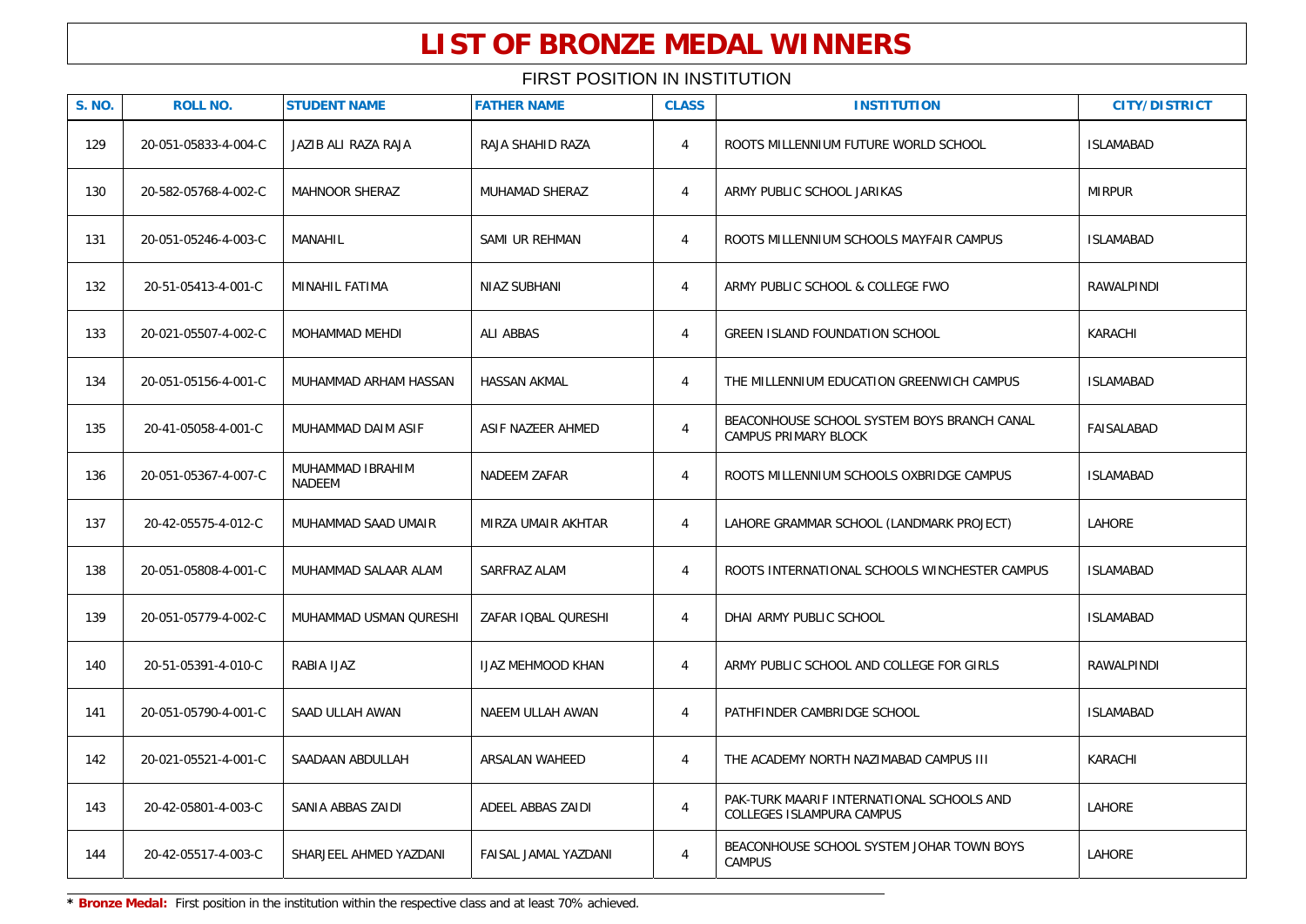| <b>S. NO.</b> | <b>ROLL NO.</b>      | <b>STUDENT NAME</b>        | <b>FATHER NAME</b>       | <b>CLASS</b>   | <b>INSTITUTION</b>                                                         | <b>CITY/DISTRICT</b> |
|---------------|----------------------|----------------------------|--------------------------|----------------|----------------------------------------------------------------------------|----------------------|
| 129           | 20-051-05833-4-004-C | JAZIB ALI RAZA RAJA        | RAJA SHAHID RAZA         | 4              | ROOTS MILLENNIUM FUTURE WORLD SCHOOL                                       | <b>ISLAMABAD</b>     |
| 130           | 20-582-05768-4-002-C | <b>MAHNOOR SHERAZ</b>      | <b>MUHAMAD SHERAZ</b>    | $\overline{4}$ | ARMY PUBLIC SCHOOL JARIKAS                                                 | <b>MIRPUR</b>        |
| 131           | 20-051-05246-4-003-C | <b>MANAHIL</b>             | SAMI UR REHMAN           | $\overline{4}$ | ROOTS MILLENNIUM SCHOOLS MAYFAIR CAMPUS                                    | <b>ISLAMABAD</b>     |
| 132           | 20-51-05413-4-001-C  | <b>MINAHIL FATIMA</b>      | <b>NIAZ SUBHANI</b>      | $\overline{4}$ | ARMY PUBLIC SCHOOL & COLLEGE FWO                                           | <b>RAWALPINDI</b>    |
| 133           | 20-021-05507-4-002-C | MOHAMMAD MEHDI             | <b>ALI ABBAS</b>         | $\overline{4}$ | <b>GREEN ISLAND FOUNDATION SCHOOL</b>                                      | KARACHI              |
| 134           | 20-051-05156-4-001-C | MUHAMMAD ARHAM HASSAN      | <b>HASSAN AKMAL</b>      | $\overline{4}$ | THE MILLENNIUM EDUCATION GREENWICH CAMPUS                                  | <b>ISLAMABAD</b>     |
| 135           | 20-41-05058-4-001-C  | MUHAMMAD DAIM ASIF         | ASIF NAZEER AHMED        | $\overline{4}$ | BEACONHOUSE SCHOOL SYSTEM BOYS BRANCH CANAL<br><b>CAMPUS PRIMARY BLOCK</b> | <b>FAISALABAD</b>    |
| 136           | 20-051-05367-4-007-C | MUHAMMAD IBRAHIM<br>NADEEM | NADEEM ZAFAR             | $\overline{4}$ | ROOTS MILLENNIUM SCHOOLS OXBRIDGE CAMPUS                                   | <b>ISLAMABAD</b>     |
| 137           | 20-42-05575-4-012-C  | MUHAMMAD SAAD UMAIR        | MIRZA UMAIR AKHTAR       | $\overline{4}$ | LAHORE GRAMMAR SCHOOL (LANDMARK PROJECT)                                   | <b>LAHORE</b>        |
| 138           | 20-051-05808-4-001-C | MUHAMMAD SALAAR ALAM       | SARFRAZ ALAM             | $\overline{4}$ | ROOTS INTERNATIONAL SCHOOLS WINCHESTER CAMPUS                              | <b>ISLAMABAD</b>     |
| 139           | 20-051-05779-4-002-C | MUHAMMAD USMAN QURESHI     | ZAFAR IQBAL QURESHI      | $\overline{4}$ | DHAI ARMY PUBLIC SCHOOL                                                    | <b>ISLAMABAD</b>     |
| 140           | 20-51-05391-4-010-C  | RABIA IJAZ                 | <b>IJAZ MEHMOOD KHAN</b> | $\overline{4}$ | ARMY PUBLIC SCHOOL AND COLLEGE FOR GIRLS                                   | RAWALPINDI           |
| 141           | 20-051-05790-4-001-C | SAAD ULLAH AWAN            | NAEEM ULLAH AWAN         | 4              | PATHFINDER CAMBRIDGE SCHOOL                                                | <b>ISLAMABAD</b>     |
| 142           | 20-021-05521-4-001-C | SAADAAN ABDULLAH           | ARSALAN WAHEED           | $\overline{4}$ | THE ACADEMY NORTH NAZIMABAD CAMPUS III                                     | KARACHI              |
| 143           | 20-42-05801-4-003-C  | SANIA ABBAS ZAIDI          | ADEEL ABBAS ZAIDI        | $\overline{4}$ | PAK-TURK MAARIF INTERNATIONAL SCHOOLS AND<br>COLLEGES ISLAMPURA CAMPUS     | LAHORE               |
| 144           | 20-42-05517-4-003-C  | SHARJEEL AHMED YAZDANI     | FAISAL JAMAL YAZDANI     | $\overline{4}$ | BEACONHOUSE SCHOOL SYSTEM JOHAR TOWN BOYS<br><b>CAMPUS</b>                 | LAHORE               |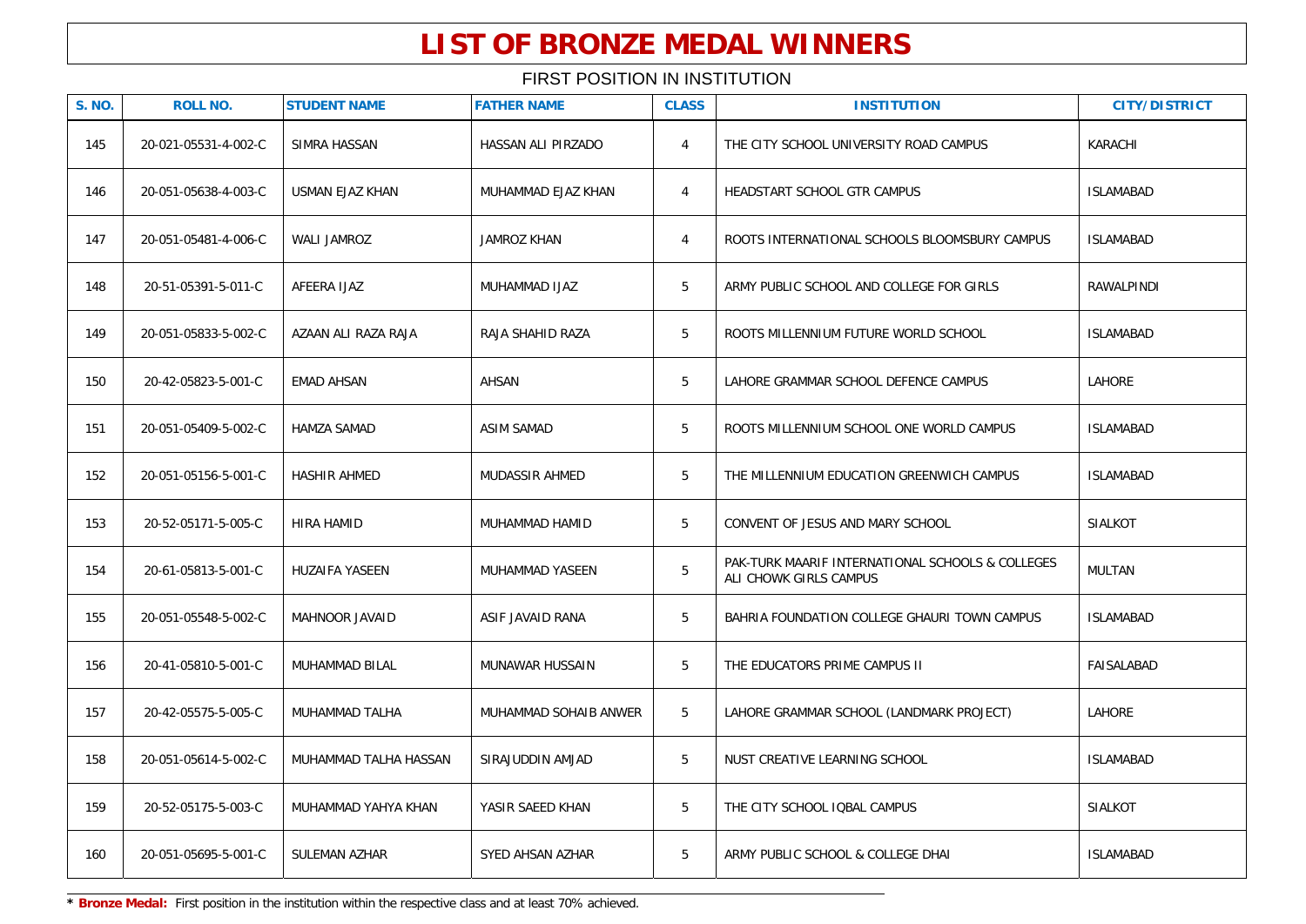| <b>S. NO.</b> | <b>ROLL NO.</b>      | <b>STUDENT NAME</b>    | <b>FATHER NAME</b>     | <b>CLASS</b>   | <b>INSTITUTION</b>                                                         | <b>CITY/DISTRICT</b> |
|---------------|----------------------|------------------------|------------------------|----------------|----------------------------------------------------------------------------|----------------------|
| 145           | 20-021-05531-4-002-C | SIMRA HASSAN           | HASSAN ALI PIRZADO     | $\overline{4}$ | THE CITY SCHOOL UNIVERSITY ROAD CAMPUS                                     | KARACHI              |
| 146           | 20-051-05638-4-003-C | <b>USMAN EJAZ KHAN</b> | MUHAMMAD EJAZ KHAN     | $\overline{4}$ | HEADSTART SCHOOL GTR CAMPUS                                                | <b>ISLAMABAD</b>     |
| 147           | 20-051-05481-4-006-C | WALI JAMROZ            | <b>JAMROZ KHAN</b>     | $\overline{4}$ | ROOTS INTERNATIONAL SCHOOLS BLOOMSBURY CAMPUS                              | <b>ISLAMABAD</b>     |
| 148           | 20-51-05391-5-011-C  | AFEERA IJAZ            | MUHAMMAD IJAZ          | 5              | ARMY PUBLIC SCHOOL AND COLLEGE FOR GIRLS                                   | RAWALPINDI           |
| 149           | 20-051-05833-5-002-C | AZAAN ALI RAZA RAJA    | RAJA SHAHID RAZA       | 5              | ROOTS MILLENNIUM FUTURE WORLD SCHOOL                                       | <b>ISLAMABAD</b>     |
| 150           | 20-42-05823-5-001-C  | <b>EMAD AHSAN</b>      | AHSAN                  | 5              | LAHORE GRAMMAR SCHOOL DEFENCE CAMPUS                                       | LAHORE               |
| 151           | 20-051-05409-5-002-C | <b>HAMZA SAMAD</b>     | ASIM SAMAD             | 5              | ROOTS MILLENNIUM SCHOOL ONE WORLD CAMPUS                                   | <b>ISLAMABAD</b>     |
| 152           | 20-051-05156-5-001-C | <b>HASHIR AHMED</b>    | <b>MUDASSIR AHMED</b>  | 5              | THE MILLENNIUM EDUCATION GREENWICH CAMPUS                                  | <b>ISLAMABAD</b>     |
| 153           | 20-52-05171-5-005-C  | <b>HIRA HAMID</b>      | MUHAMMAD HAMID         | 5              | CONVENT OF JESUS AND MARY SCHOOL                                           | <b>SIALKOT</b>       |
| 154           | 20-61-05813-5-001-C  | <b>HUZAIFA YASEEN</b>  | MUHAMMAD YASEEN        | 5              | PAK-TURK MAARIF INTERNATIONAL SCHOOLS & COLLEGES<br>ALI CHOWK GIRLS CAMPUS | <b>MULTAN</b>        |
| 155           | 20-051-05548-5-002-C | <b>MAHNOOR JAVAID</b>  | ASIF JAVAID RANA       | 5              | BAHRIA FOUNDATION COLLEGE GHAURI TOWN CAMPUS                               | <b>ISLAMABAD</b>     |
| 156           | 20-41-05810-5-001-C  | <b>MUHAMMAD BILAL</b>  | <b>MUNAWAR HUSSAIN</b> | 5              | THE EDUCATORS PRIME CAMPUS II                                              | FAISALABAD           |
| 157           | 20-42-05575-5-005-C  | MUHAMMAD TALHA         | MUHAMMAD SOHAIB ANWER  | 5              | LAHORE GRAMMAR SCHOOL (LANDMARK PROJECT)                                   | LAHORE               |
| 158           | 20-051-05614-5-002-C | MUHAMMAD TALHA HASSAN  | SIRAJUDDIN AMJAD       | 5              | NUST CREATIVE LEARNING SCHOOL                                              | <b>ISLAMABAD</b>     |
| 159           | 20-52-05175-5-003-C  | MUHAMMAD YAHYA KHAN    | YASIR SAEED KHAN       | 5              | THE CITY SCHOOL IQBAL CAMPUS                                               | <b>SIALKOT</b>       |
| 160           | 20-051-05695-5-001-C | SULEMAN AZHAR          | SYED AHSAN AZHAR       | 5              | ARMY PUBLIC SCHOOL & COLLEGE DHAI                                          | <b>ISLAMABAD</b>     |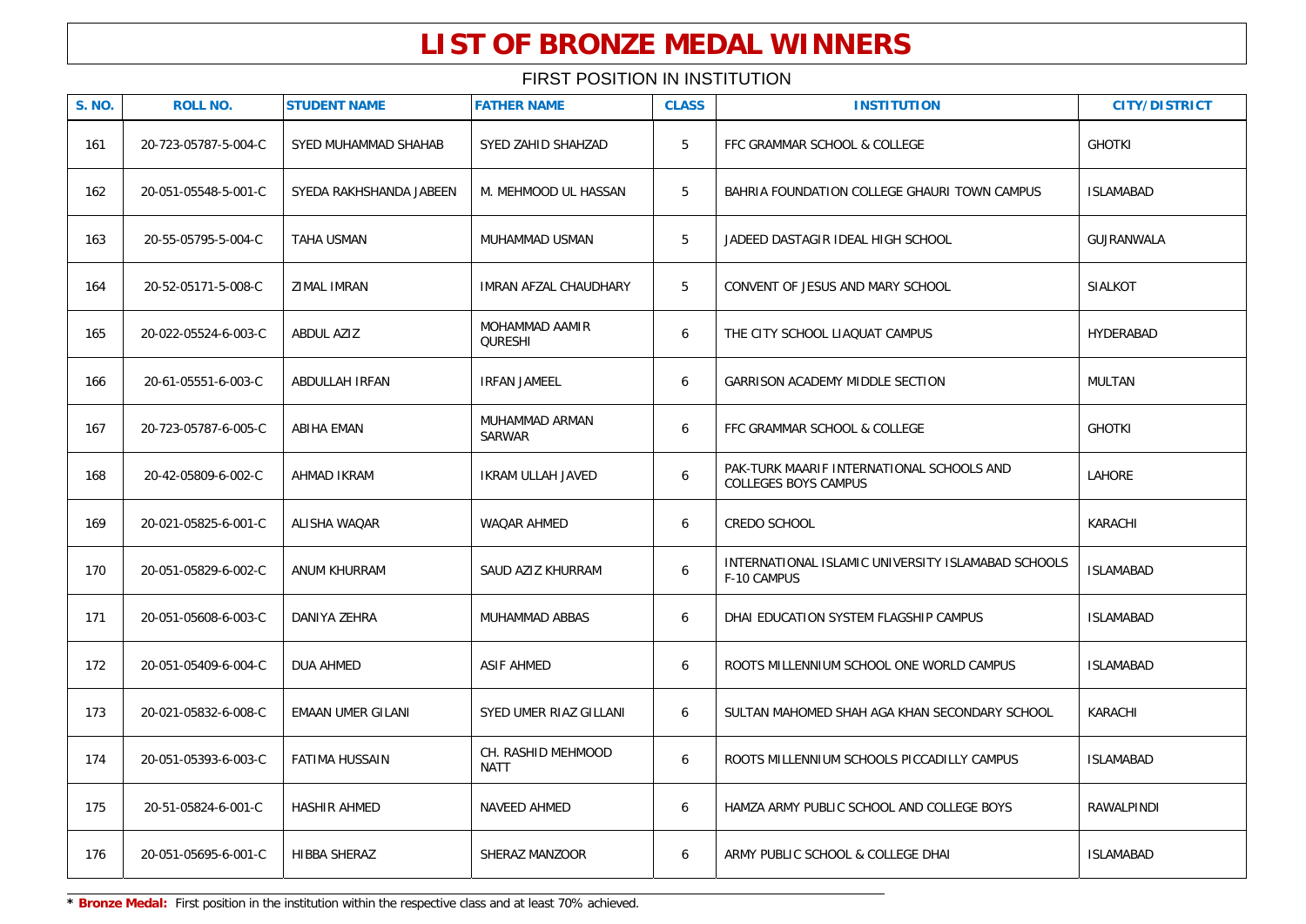| <b>S. NO.</b> | <b>ROLL NO.</b>      | <b>STUDENT NAME</b>     | <b>FATHER NAME</b>                | <b>CLASS</b> | <b>INSTITUTION</b>                                                       | <b>CITY/DISTRICT</b> |
|---------------|----------------------|-------------------------|-----------------------------------|--------------|--------------------------------------------------------------------------|----------------------|
| 161           | 20-723-05787-5-004-C | SYED MUHAMMAD SHAHAB    | SYED ZAHID SHAHZAD                | 5            | FFC GRAMMAR SCHOOL & COLLEGE                                             | <b>GHOTKI</b>        |
| 162           | 20-051-05548-5-001-C | SYEDA RAKHSHANDA JABEEN | M. MEHMOOD UL HASSAN              | 5            | BAHRIA FOUNDATION COLLEGE GHAURI TOWN CAMPUS                             | <b>ISLAMABAD</b>     |
| 163           | 20-55-05795-5-004-C  | TAHA USMAN              | MUHAMMAD USMAN                    | 5            | JADEED DASTAGIR IDEAL HIGH SCHOOL                                        | GUJRANWALA           |
| 164           | 20-52-05171-5-008-C  | <b>ZIMAL IMRAN</b>      | <b>IMRAN AFZAL CHAUDHARY</b>      | 5            | CONVENT OF JESUS AND MARY SCHOOL                                         | <b>SIALKOT</b>       |
| 165           | 20-022-05524-6-003-C | ABDUL AZIZ              | MOHAMMAD AAMIR<br><b>QURESHI</b>  | 6            | THE CITY SCHOOL LIAQUAT CAMPUS                                           | HYDERABAD            |
| 166           | 20-61-05551-6-003-C  | ABDULLAH IRFAN          | <b>IRFAN JAMEEL</b>               | 6            | GARRISON ACADEMY MIDDLE SECTION                                          | MULTAN               |
| 167           | 20-723-05787-6-005-C | ABIHA EMAN              | MUHAMMAD ARMAN<br>SARWAR          | 6            | FFC GRAMMAR SCHOOL & COLLEGE                                             | <b>GHOTKI</b>        |
| 168           | 20-42-05809-6-002-C  | AHMAD IKRAM             | IKRAM ULLAH JAVED                 | 6            | PAK-TURK MAARIF INTERNATIONAL SCHOOLS AND<br><b>COLLEGES BOYS CAMPUS</b> | LAHORE               |
| 169           | 20-021-05825-6-001-C | ALISHA WAQAR            | WAQAR AHMED                       | 6            | CREDO SCHOOL                                                             | KARACHI              |
| 170           | 20-051-05829-6-002-C | ANUM KHURRAM            | SAUD AZIZ KHURRAM                 | 6            | INTERNATIONAL ISLAMIC UNIVERSITY ISLAMABAD SCHOOLS<br>F-10 CAMPUS        | <b>ISLAMABAD</b>     |
| 171           | 20-051-05608-6-003-C | DANIYA ZEHRA            | MUHAMMAD ABBAS                    | 6            | DHAI EDUCATION SYSTEM FLAGSHIP CAMPUS                                    | <b>ISLAMABAD</b>     |
| 172           | 20-051-05409-6-004-C | <b>DUA AHMED</b>        | <b>ASIF AHMED</b>                 | 6            | ROOTS MILLENNIUM SCHOOL ONE WORLD CAMPUS                                 | <b>ISLAMABAD</b>     |
| 173           | 20-021-05832-6-008-C | EMAAN UMER GILANI       | SYED UMER RIAZ GILLANI            | 6            | SULTAN MAHOMED SHAH AGA KHAN SECONDARY SCHOOL                            | KARACHI              |
| 174           | 20-051-05393-6-003-C | FATIMA HUSSAIN          | CH. RASHID MEHMOOD<br><b>NATT</b> | 6            | ROOTS MILLENNIUM SCHOOLS PICCADILLY CAMPUS                               | <b>ISLAMABAD</b>     |
| 175           | 20-51-05824-6-001-C  | HASHIR AHMED            | NAVEED AHMED                      | 6            | HAMZA ARMY PUBLIC SCHOOL AND COLLEGE BOYS                                | RAWALPINDI           |
| 176           | 20-051-05695-6-001-C | HIBBA SHERAZ            | SHERAZ MANZOOR                    | 6            | ARMY PUBLIC SCHOOL & COLLEGE DHAI                                        | <b>ISLAMABAD</b>     |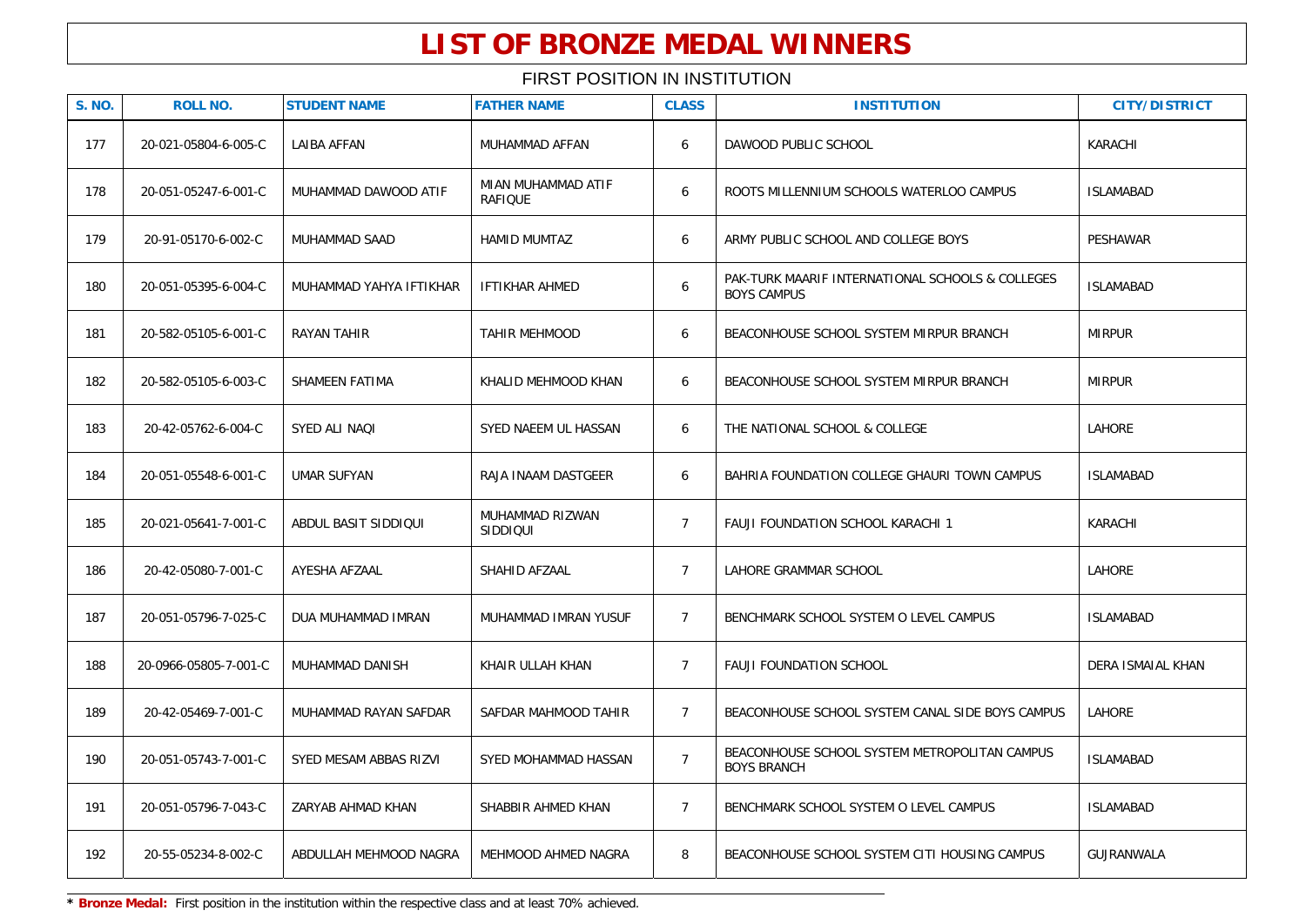| <b>S. NO.</b> | <b>ROLL NO.</b>       | <b>STUDENT NAME</b>     | <b>FATHER NAME</b>                   | <b>CLASS</b>   | <b>INSTITUTION</b>                                                     | <b>CITY/DISTRICT</b> |
|---------------|-----------------------|-------------------------|--------------------------------------|----------------|------------------------------------------------------------------------|----------------------|
| 177           | 20-021-05804-6-005-C  | <b>LAIBA AFFAN</b>      | MUHAMMAD AFFAN                       | 6              | DAWOOD PUBLIC SCHOOL                                                   | KARACHI              |
| 178           | 20-051-05247-6-001-C  | MUHAMMAD DAWOOD ATIF    | MIAN MUHAMMAD ATIF<br><b>RAFIQUE</b> | 6              | ROOTS MILLENNIUM SCHOOLS WATERLOO CAMPUS                               | <b>ISLAMABAD</b>     |
| 179           | 20-91-05170-6-002-C   | MUHAMMAD SAAD           | <b>HAMID MUMTAZ</b>                  | 6              | ARMY PUBLIC SCHOOL AND COLLEGE BOYS                                    | PESHAWAR             |
| 180           | 20-051-05395-6-004-C  | MUHAMMAD YAHYA IFTIKHAR | <b>IFTIKHAR AHMED</b>                | 6              | PAK-TURK MAARIF INTERNATIONAL SCHOOLS & COLLEGES<br><b>BOYS CAMPUS</b> | <b>ISLAMABAD</b>     |
| 181           | 20-582-05105-6-001-C  | RAYAN TAHIR             | <b>TAHIR MEHMOOD</b>                 | 6              | BEACONHOUSE SCHOOL SYSTEM MIRPUR BRANCH                                | <b>MIRPUR</b>        |
| 182           | 20-582-05105-6-003-C  | SHAMEEN FATIMA          | KHALID MEHMOOD KHAN                  | 6              | BEACONHOUSE SCHOOL SYSTEM MIRPUR BRANCH                                | <b>MIRPUR</b>        |
| 183           | 20-42-05762-6-004-C   | SYED ALI NAQI           | SYED NAEEM UL HASSAN                 | 6              | THE NATIONAL SCHOOL & COLLEGE                                          | LAHORE               |
| 184           | 20-051-05548-6-001-C  | <b>UMAR SUFYAN</b>      | RAJA INAAM DASTGEER                  | 6              | BAHRIA FOUNDATION COLLEGE GHAURI TOWN CAMPUS                           | <b>ISLAMABAD</b>     |
| 185           | 20-021-05641-7-001-C  | ABDUL BASIT SIDDIQUI    | MUHAMMAD RIZWAN<br>SIDDIQUI          | $\overline{7}$ | FAUJI FOUNDATION SCHOOL KARACHI 1                                      | KARACHI              |
| 186           | 20-42-05080-7-001-C   | AYESHA AFZAAL           | SHAHID AFZAAL                        | $\overline{7}$ | LAHORE GRAMMAR SCHOOL                                                  | <b>LAHORE</b>        |
| 187           | 20-051-05796-7-025-C  | DUA MUHAMMAD IMRAN      | MUHAMMAD IMRAN YUSUF                 | $\overline{7}$ | BENCHMARK SCHOOL SYSTEM O LEVEL CAMPUS                                 | <b>ISLAMABAD</b>     |
| 188           | 20-0966-05805-7-001-C | MUHAMMAD DANISH         | KHAIR ULLAH KHAN                     | $\overline{7}$ | <b>FAUJI FOUNDATION SCHOOL</b>                                         | DERA ISMAIAL KHAN    |
| 189           | 20-42-05469-7-001-C   | MUHAMMAD RAYAN SAFDAR   | SAFDAR MAHMOOD TAHIR                 | $\overline{7}$ | BEACONHOUSE SCHOOL SYSTEM CANAL SIDE BOYS CAMPUS                       | <b>LAHORE</b>        |
| 190           | 20-051-05743-7-001-C  | SYED MESAM ABBAS RIZVI  | SYED MOHAMMAD HASSAN                 | $\overline{7}$ | BEACONHOUSE SCHOOL SYSTEM METROPOLITAN CAMPUS<br><b>BOYS BRANCH</b>    | <b>ISLAMABAD</b>     |
| 191           | 20-051-05796-7-043-C  | ZARYAB AHMAD KHAN       | SHABBIR AHMED KHAN                   | $\overline{7}$ | BENCHMARK SCHOOL SYSTEM O LEVEL CAMPUS                                 | <b>ISLAMABAD</b>     |
| 192           | 20-55-05234-8-002-C   | ABDULLAH MEHMOOD NAGRA  | MEHMOOD AHMED NAGRA                  | 8              | BEACONHOUSE SCHOOL SYSTEM CITI HOUSING CAMPUS                          | GUJRANWALA           |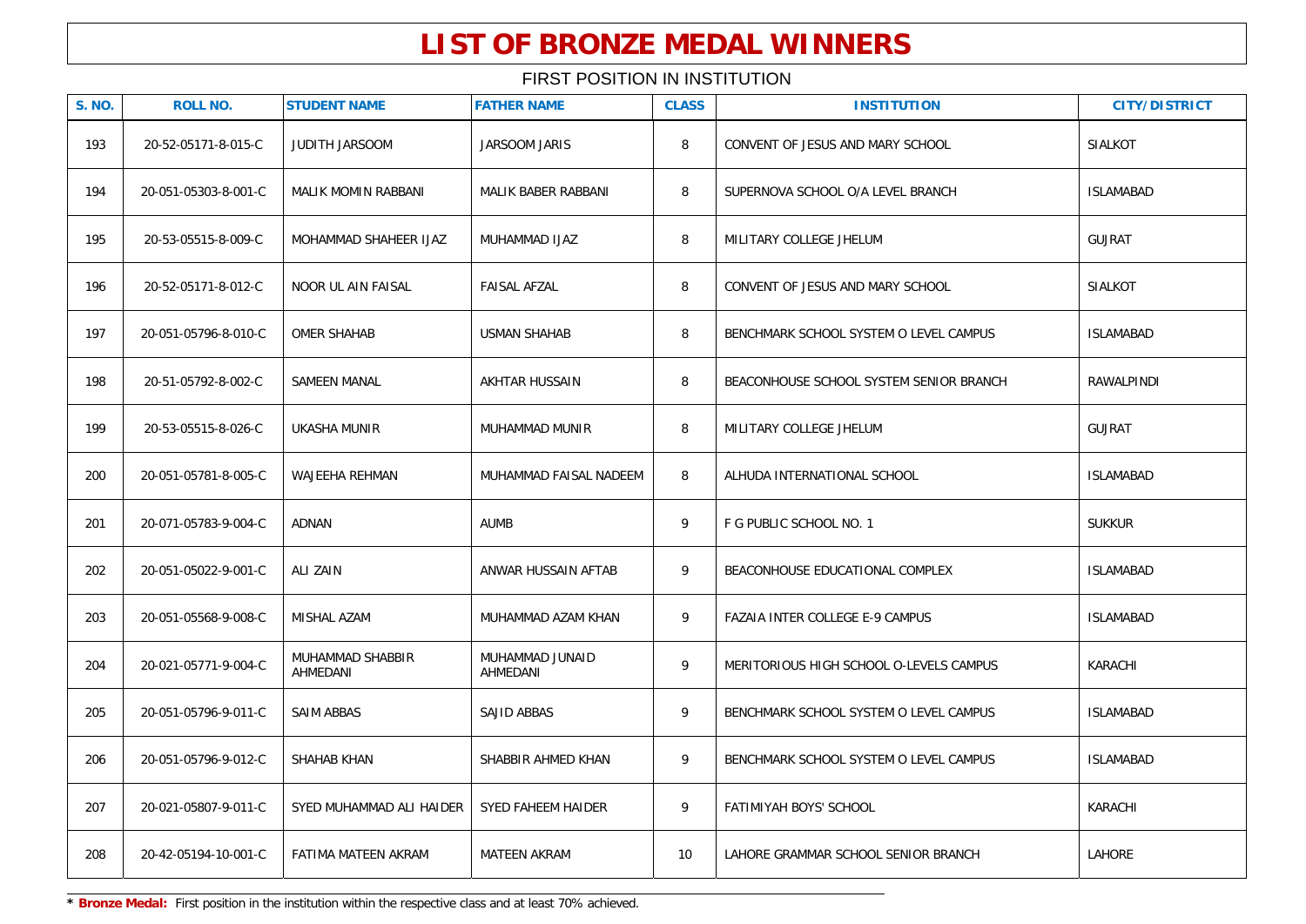### FIRST POSITION IN INSTITUTION

| <b>S. NO.</b> | <b>ROLL NO.</b>      | <b>STUDENT NAME</b>          | <b>FATHER NAME</b>          | <b>CLASS</b> | <b>INSTITUTION</b>                      | <b>CITY/DISTRICT</b> |
|---------------|----------------------|------------------------------|-----------------------------|--------------|-----------------------------------------|----------------------|
| 193           | 20-52-05171-8-015-C  | JUDITH JARSOOM               | JARSOOM JARIS               | 8            | CONVENT OF JESUS AND MARY SCHOOL        | <b>SIALKOT</b>       |
| 194           | 20-051-05303-8-001-C | <b>MALIK MOMIN RABBANI</b>   | <b>MALIK BABER RABBANI</b>  | 8            | SUPERNOVA SCHOOL O/A LEVEL BRANCH       | <b>ISLAMABAD</b>     |
| 195           | 20-53-05515-8-009-C  | MOHAMMAD SHAHEER IJAZ        | MUHAMMAD IJAZ               | 8            | MILITARY COLLEGE JHELUM                 | <b>GUJRAT</b>        |
| 196           | 20-52-05171-8-012-C  | <b>NOOR UL AIN FAISAL</b>    | <b>FAISAL AFZAL</b>         | 8            | CONVENT OF JESUS AND MARY SCHOOL        | <b>SIALKOT</b>       |
| 197           | 20-051-05796-8-010-C | OMER SHAHAB                  | <b>USMAN SHAHAB</b>         | 8            | BENCHMARK SCHOOL SYSTEM O LEVEL CAMPUS  | <b>ISLAMABAD</b>     |
| 198           | 20-51-05792-8-002-C  | SAMEEN MANAL                 | AKHTAR HUSSAIN              | 8            | BEACONHOUSE SCHOOL SYSTEM SENIOR BRANCH | RAWALPINDI           |
| 199           | 20-53-05515-8-026-C  | <b>UKASHA MUNIR</b>          | MUHAMMAD MUNIR              | 8            | MILITARY COLLEGE JHELUM                 | <b>GUJRAT</b>        |
| 200           | 20-051-05781-8-005-C | WAJEEHA REHMAN               | MUHAMMAD FAISAL NADEEM      | 8            | ALHUDA INTERNATIONAL SCHOOL             | <b>ISLAMABAD</b>     |
| 201           | 20-071-05783-9-004-C | ADNAN                        | <b>AUMB</b>                 | 9            | F G PUBLIC SCHOOL NO. 1                 | <b>SUKKUR</b>        |
| 202           | 20-051-05022-9-001-C | ALI ZAIN                     | ANWAR HUSSAIN AFTAB         | 9            | BEACONHOUSE EDUCATIONAL COMPLEX         | <b>ISLAMABAD</b>     |
| 203           | 20-051-05568-9-008-C | MISHAL AZAM                  | MUHAMMAD AZAM KHAN          | 9            | FAZAIA INTER COLLEGE E-9 CAMPUS         | <b>ISLAMABAD</b>     |
| 204           | 20-021-05771-9-004-C | MUHAMMAD SHABBIR<br>AHMEDANI | MUHAMMAD JUNAID<br>AHMEDANI | 9            | MERITORIOUS HIGH SCHOOL O-LEVELS CAMPUS | KARACHI              |
| 205           | 20-051-05796-9-011-C | SAIM ABBAS                   | SAJID ABBAS                 | 9            | BENCHMARK SCHOOL SYSTEM O LEVEL CAMPUS  | <b>ISLAMABAD</b>     |
| 206           | 20-051-05796-9-012-C | SHAHAB KHAN                  | SHABBIR AHMED KHAN          | 9            | BENCHMARK SCHOOL SYSTEM O LEVEL CAMPUS  | <b>ISLAMABAD</b>     |
| 207           | 20-021-05807-9-011-C | SYED MUHAMMAD ALI HAIDER     | SYED FAHEEM HAIDER          | 9            | FATIMIYAH BOYS' SCHOOL                  | KARACHI              |
| 208           | 20-42-05194-10-001-C | FATIMA MATEEN AKRAM          | <b>MATEEN AKRAM</b>         | 10           | LAHORE GRAMMAR SCHOOL SENIOR BRANCH     | LAHORE               |